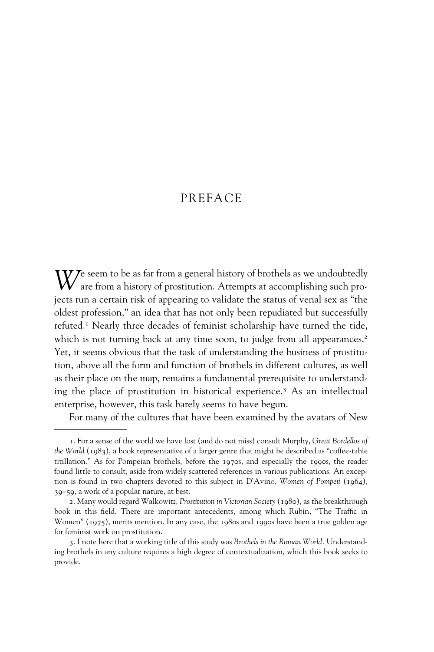## PREFACE

W<sup>e seem</sup> to be as far from a general history of brothels as we undoubtedly are from a history of prostitution. Attempts at accomplishing such projects run a certain risk of appearing to validate the status of venal sex as "the oldest profession," an idea that has not only been repudiated but successfully refuted.1 Nearly three decades of feminist scholarship have turned the tide, which is not turning back at any time soon, to judge from all appearances.<sup>2</sup> Yet, it seems obvious that the task of understanding the business of prostitution, above all the form and function of brothels in different cultures, as well as their place on the map, remains a fundamental prerequisite to understanding the place of prostitution in historical experience.3 As an intellectual enterprise, however, this task barely seems to have begun.

For many of the cultures that have been examined by the avatars of New

<sup>1.</sup> For a sense of the world we have lost (and do not miss) consult Murphy, *Great Bordellos of the World* (1983), a book representative of a larger genre that might be described as "coffee-table titillation." As for Pompeian brothels, before the 1970s, and especially the 1990s, the reader found little to consult, aside from widely scattered references in various publications. An exception is found in two chapters devoted to this subject in D'Avino, *Women of Pompeii* (1964), 39–59, a work of a popular nature, at best.

<sup>2.</sup> Many would regard Walkowitz, *Prostitution in Victorian Society* (1980), as the breakthrough book in this field. There are important antecedents, among which Rubin, "The Traffic in Women" (1975), merits mention. In any case, the 1980s and 1990s have been a true golden age for feminist work on prostitution.

<sup>3.</sup> I note here that a working title of this study was *Brothels in the Roman World.* Understanding brothels in any culture requires a high degree of contextualization, which this book seeks to provide.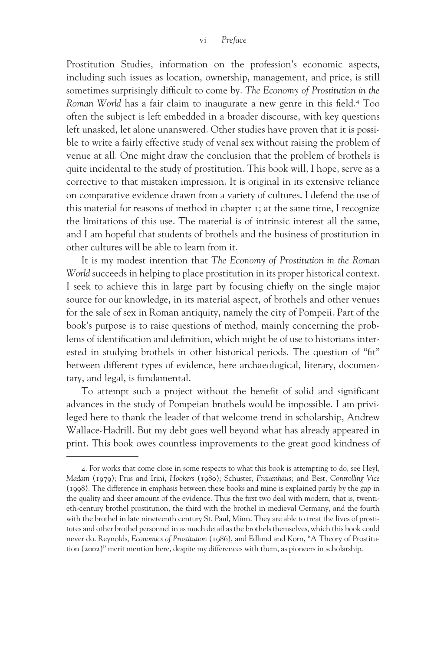Prostitution Studies, information on the profession's economic aspects, including such issues as location, ownership, management, and price, is still sometimes surprisingly difficult to come by. The Economy of Prostitution in the *Roman World* has a fair claim to inaugurate a new genre in this field.<sup>4</sup> Too often the subject is left embedded in a broader discourse, with key questions left unasked, let alone unanswered. Other studies have proven that it is possible to write a fairly effective study of venal sex without raising the problem of venue at all. One might draw the conclusion that the problem of brothels is quite incidental to the study of prostitution. This book will, I hope, serve as a corrective to that mistaken impression. It is original in its extensive reliance on comparative evidence drawn from a variety of cultures. I defend the use of this material for reasons of method in chapter 1; at the same time, I recognize the limitations of this use. The material is of intrinsic interest all the same, and I am hopeful that students of brothels and the business of prostitution in other cultures will be able to learn from it.

It is my modest intention that *The Economy of Prostitution in the Roman World* succeeds in helping to place prostitution in its proper historical context. I seek to achieve this in large part by focusing chiefly on the single major source for our knowledge, in its material aspect, of brothels and other venues for the sale of sex in Roman antiquity, namely the city of Pompeii. Part of the book's purpose is to raise questions of method, mainly concerning the problems of identification and definition, which might be of use to historians interested in studying brothels in other historical periods. The question of "fit" between different types of evidence, here archaeological, literary, documentary, and legal, is fundamental.

To attempt such a project without the benefit of solid and significant advances in the study of Pompeian brothels would be impossible. I am privileged here to thank the leader of that welcome trend in scholarship, Andrew Wallace-Hadrill. But my debt goes well beyond what has already appeared in print. This book owes countless improvements to the great good kindness of

<sup>4.</sup> For works that come close in some respects to what this book is attempting to do, see Heyl, *Madam* (1979); Prus and Irini, *Hookers* (1980); Schuster, *Frauenhaus;* and Best, *Controlling Vice* (1998). The difference in emphasis between these books and mine is explained partly by the gap in the quality and sheer amount of the evidence. Thus the first two deal with modern, that is, twentieth-century brothel prostitution, the third with the brothel in medieval Germany, and the fourth with the brothel in late nineteenth century St. Paul, Minn. They are able to treat the lives of prostitutes and other brothel personnel in as much detail as the brothels themselves, which this book could never do. Reynolds, *Economics of Prostitution* (1986), and Edlund and Korn, "A Theory of Prostitution (2002)" merit mention here, despite my differences with them, as pioneers in scholarship.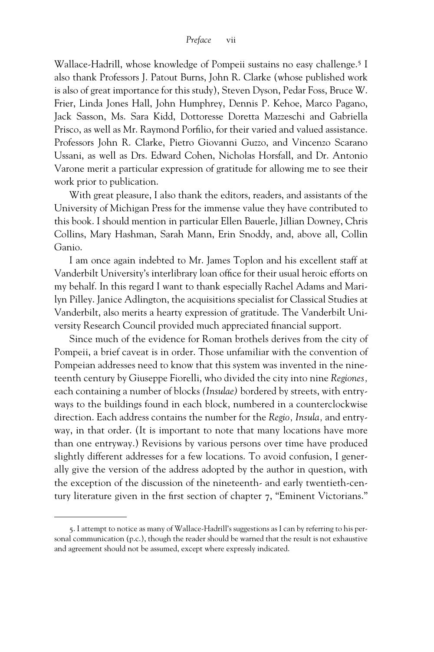Wallace-Hadrill, whose knowledge of Pompeii sustains no easy challenge.5 I also thank Professors J. Patout Burns, John R. Clarke (whose published work is also of great importance for this study), Steven Dyson, Pedar Foss, Bruce W. Frier, Linda Jones Hall, John Humphrey, Dennis P. Kehoe, Marco Pagano, Jack Sasson, Ms. Sara Kidd, Dottoresse Doretta Mazzeschi and Gabriella Prisco, as well as Mr. Raymond Porfilio, for their varied and valued assistance. Professors John R. Clarke, Pietro Giovanni Guzzo, and Vincenzo Scarano Ussani, as well as Drs. Edward Cohen, Nicholas Horsfall, and Dr. Antonio Varone merit a particular expression of gratitude for allowing me to see their work prior to publication.

With great pleasure, I also thank the editors, readers, and assistants of the University of Michigan Press for the immense value they have contributed to this book. I should mention in particular Ellen Bauerle, Jillian Downey, Chris Collins, Mary Hashman, Sarah Mann, Erin Snoddy, and, above all, Collin Ganio.

I am once again indebted to Mr. James Toplon and his excellent staff at Vanderbilt University's interlibrary loan office for their usual heroic efforts on my behalf. In this regard I want to thank especially Rachel Adams and Marilyn Pilley. Janice Adlington, the acquisitions specialist for Classical Studies at Vanderbilt, also merits a hearty expression of gratitude. The Vanderbilt University Research Council provided much appreciated financial support.

Since much of the evidence for Roman brothels derives from the city of Pompeii, a brief caveat is in order. Those unfamiliar with the convention of Pompeian addresses need to know that this system was invented in the nineteenth century by Giuseppe Fiorelli, who divided the city into nine *Regiones,* each containing a number of blocks *(Insulae)* bordered by streets, with entryways to the buildings found in each block, numbered in a counterclockwise direction. Each address contains the number for the *Regio, Insula,* and entryway, in that order. (It is important to note that many locations have more than one entryway.) Revisions by various persons over time have produced slightly different addresses for a few locations. To avoid confusion, I generally give the version of the address adopted by the author in question, with the exception of the discussion of the nineteenth- and early twentieth-century literature given in the first section of chapter 7, "Eminent Victorians."

<sup>5.</sup> I attempt to notice as many of Wallace-Hadrill's suggestions as I can by referring to his personal communication (p.c.), though the reader should be warned that the result is not exhaustive and agreement should not be assumed, except where expressly indicated.